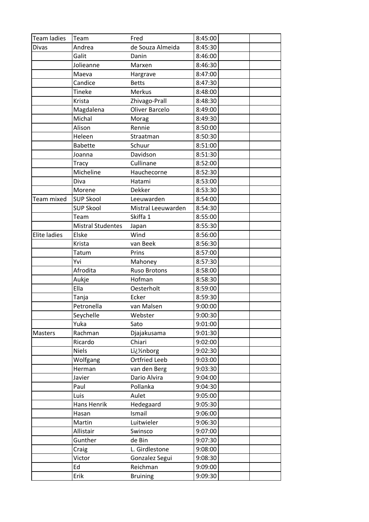| Team ladies         | Team                     | Fred                  | 8:45:00 |
|---------------------|--------------------------|-----------------------|---------|
| <b>Divas</b>        | Andrea                   | de Souza Almeida      | 8:45:30 |
|                     | Galit                    | Danin                 | 8:46:00 |
|                     | Jolieanne                | Marxen                | 8:46:30 |
|                     | Maeva                    | Hargrave              | 8:47:00 |
|                     | Candice                  | <b>Betts</b>          | 8:47:30 |
|                     | <b>Tineke</b>            | Merkus                | 8:48:00 |
|                     | Krista                   | Zhivago-Prall         | 8:48:30 |
|                     | Magdalena                | <b>Oliver Barcelo</b> | 8:49:00 |
|                     | Michal                   | Morag                 | 8:49:30 |
|                     | Alison                   | Rennie                | 8:50:00 |
|                     | Heleen                   | Straatman             | 8:50:30 |
|                     | <b>Babette</b>           | Schuur                | 8:51:00 |
|                     | Joanna                   | Davidson              | 8:51:30 |
|                     | <b>Tracy</b>             | Cullinane             | 8:52:00 |
|                     | Micheline                | Hauchecorne           | 8:52:30 |
|                     | Diva                     | Hatami                | 8:53:00 |
|                     | Morene                   | Dekker                | 8:53:30 |
| Team mixed          | <b>SUP Skool</b>         | Leeuwarden            | 8:54:00 |
|                     | <b>SUP Skool</b>         | Mistral Leeuwarden    | 8:54:30 |
|                     | Team                     | Skiffa 1              | 8:55:00 |
|                     | <b>Mistral Studentes</b> | Japan                 | 8:55:30 |
| <b>Elite ladies</b> | Elske                    | Wind                  | 8:56:00 |
|                     | Krista                   | van Beek              | 8:56:30 |
|                     | Tatum                    | Prins                 | 8:57:00 |
|                     | Yvi                      | Mahoney               | 8:57:30 |
|                     | Afrodita                 | <b>Ruso Brotons</b>   | 8:58:00 |
|                     | Aukje                    | Hofman                | 8:58:30 |
|                     | Ella                     | Oesterholt            | 8:59:00 |
|                     | Tanja                    | Ecker                 | 8:59:30 |
|                     | Petronella               | van Malsen            | 9:00:00 |
|                     | Seychelle                | Webster               | 9:00:30 |
|                     | Yuka                     | Sato                  | 9:01:00 |
| Masters             | Rachman                  | Djajakusama           | 9:01:30 |
|                     | Ricardo                  | Chiari                | 9:02:00 |
|                     | <b>Niels</b>             | L�nborg               | 9:02:30 |
|                     | Wolfgang                 | <b>Ortfried Leeb</b>  | 9:03:00 |
|                     | Herman                   | van den Berg          | 9:03:30 |
|                     | Javier                   | Dario Alvira          | 9:04:00 |
|                     | Paul                     | Pollanka              | 9:04:30 |
|                     | Luis                     | Aulet                 | 9:05:00 |
|                     | Hans Henrik              | Hedegaard             | 9:05:30 |
|                     | Hasan                    | Ismail                | 9:06:00 |
|                     | Martin                   | Luitwieler            | 9:06:30 |
|                     | Allistair                | Swinsco               | 9:07:00 |
|                     | Gunther                  | de Bin                | 9:07:30 |
|                     | Craig                    | L. Girdlestone        | 9:08:00 |
|                     | Victor                   | Gonzalez Segui        | 9:08:30 |
|                     | Ed                       | Reichman              | 9:09:00 |
|                     | Erik                     | <b>Bruining</b>       | 9:09:30 |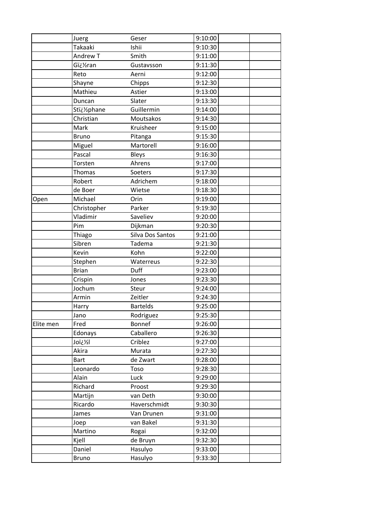|           | Juerg         | Geser            | 9:10:00 |  |
|-----------|---------------|------------------|---------|--|
|           | Takaaki       | Ishii            | 9:10:30 |  |
|           | Andrew T      | Smith            | 9:11:00 |  |
|           | G�ran         | Gustavsson       | 9:11:30 |  |
|           | Reto          | Aerni            | 9:12:00 |  |
|           | Shayne        | Chipps           | 9:12:30 |  |
|           | Mathieu       | Astier           | 9:13:00 |  |
|           | Duncan        | Slater           | 9:13:30 |  |
|           | Stï¿1/2phane  | Guillermin       | 9:14:00 |  |
|           | Christian     | Moutsakos        | 9:14:30 |  |
|           | Mark          | Kruisheer        | 9:15:00 |  |
|           | <b>Bruno</b>  | Pitanga          | 9:15:30 |  |
|           | Miguel        | Martorell        | 9:16:00 |  |
|           | Pascal        | Bleys            | 9:16:30 |  |
|           | Torsten       | Ahrens           | 9:17:00 |  |
|           | <b>Thomas</b> | Soeters          | 9:17:30 |  |
|           | Robert        | Adrichem         | 9:18:00 |  |
|           | de Boer       | Wietse           | 9:18:30 |  |
| Open      | Michael       | Orin             | 9:19:00 |  |
|           | Christopher   | Parker           | 9:19:30 |  |
|           | Vladimir      | Saveliev         | 9:20:00 |  |
|           | Pim           | Dijkman          | 9:20:30 |  |
|           | Thiago        | Silva Dos Santos | 9:21:00 |  |
|           | Sibren        | Tadema           | 9:21:30 |  |
|           | Kevin         | Kohn             | 9:22:00 |  |
|           | Stephen       | Waterreus        | 9:22:30 |  |
|           | <b>Brian</b>  | Duff             | 9:23:00 |  |
|           | Crispin       | Jones            | 9:23:30 |  |
|           | Jochum        | Steur            | 9:24:00 |  |
|           | Armin         | Zeitler          | 9:24:30 |  |
|           | Harry         | <b>Bartelds</b>  | 9:25:00 |  |
|           | Jano          | Rodriguez        | 9:25:30 |  |
| Elite men | Fred          | Bonnef           | 9:26:00 |  |
|           | Edonays       | Caballero        | 9:26:30 |  |
|           | lxšiol        | Criblez          | 9:27:00 |  |
|           | Akira         | Murata           | 9:27:30 |  |
|           | <b>Bart</b>   | de Zwart         | 9:28:00 |  |
|           | Leonardo      | Toso             | 9:28:30 |  |
|           | Alain         | Luck             | 9:29:00 |  |
|           | Richard       | Proost           | 9:29:30 |  |
|           | Martijn       | van Deth         | 9:30:00 |  |
|           | Ricardo       | Haverschmidt     | 9:30:30 |  |
|           | James         | Van Drunen       | 9:31:00 |  |
|           | Joep          | van Bakel        | 9:31:30 |  |
|           | Martino       | Rogai            | 9:32:00 |  |
|           | Kjell         | de Bruyn         | 9:32:30 |  |
|           | Daniel        | Hasulyo          | 9:33:00 |  |
|           | <b>Bruno</b>  | Hasulyo          | 9:33:30 |  |